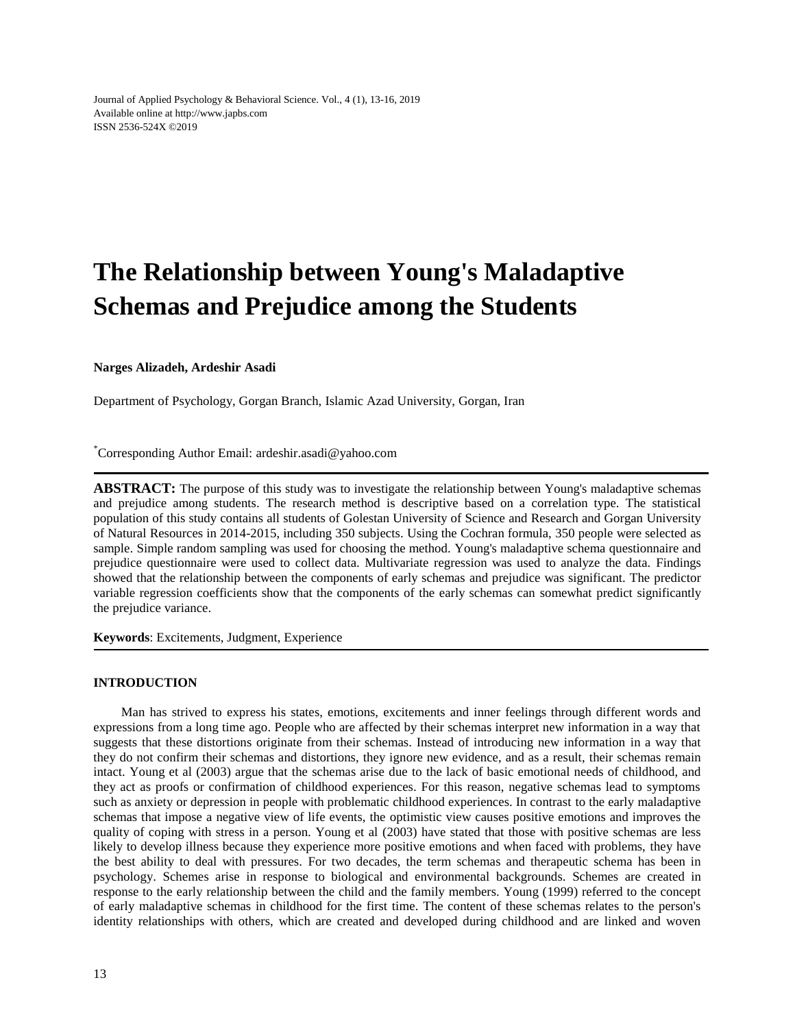Journal of Applied Psychology & Behavioral Science. Vol., 4 (1), 13-16, 2019 Available online at http://www.japbs.com ISSN 2536-524X ©2019

# **The Relationship between Young's Maladaptive Schemas and Prejudice among the Students**

**Narges Alizadeh, Ardeshir Asadi**

Department of Psychology, Gorgan Branch, Islamic Azad University, Gorgan, Iran

\*Corresponding Author Email: ardeshir.asadi@yahoo.com

**ABSTRACT:** The purpose of this study was to investigate the relationship between Young's maladaptive schemas and prejudice among students. The research method is descriptive based on a correlation type. The statistical population of this study contains all students of Golestan University of Science and Research and Gorgan University of Natural Resources in 2014-2015, including 350 subjects. Using the Cochran formula, 350 people were selected as sample. Simple random sampling was used for choosing the method. Young's maladaptive schema questionnaire and prejudice questionnaire were used to collect data. Multivariate regression was used to analyze the data. Findings showed that the relationship between the components of early schemas and prejudice was significant. The predictor variable regression coefficients show that the components of the early schemas can somewhat predict significantly the prejudice variance.

**Keywords**: Excitements, Judgment, Experience

# **INTRODUCTION**

Man has strived to express his states, emotions, excitements and inner feelings through different words and expressions from a long time ago. People who are affected by their schemas interpret new information in a way that suggests that these distortions originate from their schemas. Instead of introducing new information in a way that they do not confirm their schemas and distortions, they ignore new evidence, and as a result, their schemas remain intact. Young et al (2003) argue that the schemas arise due to the lack of basic emotional needs of childhood, and they act as proofs or confirmation of childhood experiences. For this reason, negative schemas lead to symptoms such as anxiety or depression in people with problematic childhood experiences. In contrast to the early maladaptive schemas that impose a negative view of life events, the optimistic view causes positive emotions and improves the quality of coping with stress in a person. Young et al (2003) have stated that those with positive schemas are less likely to develop illness because they experience more positive emotions and when faced with problems, they have the best ability to deal with pressures. For two decades, the term schemas and therapeutic schema has been in psychology. Schemes arise in response to biological and environmental backgrounds. Schemes are created in response to the early relationship between the child and the family members. Young (1999) referred to the concept of early maladaptive schemas in childhood for the first time. The content of these schemas relates to the person's identity relationships with others, which are created and developed during childhood and are linked and woven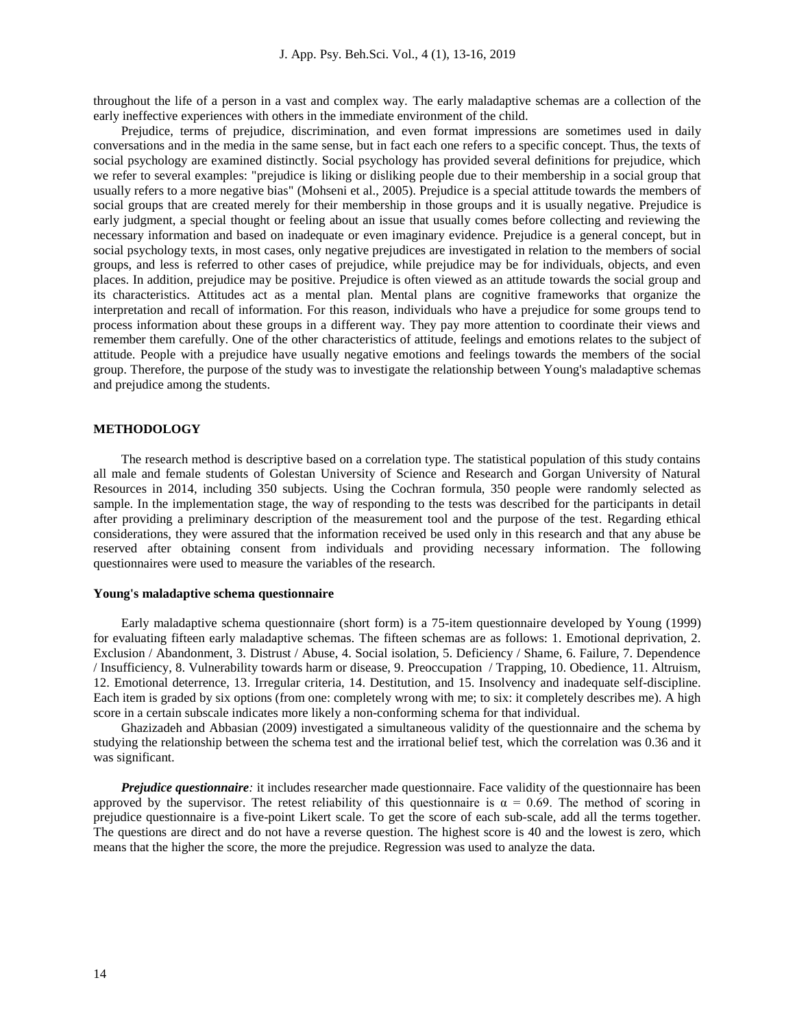throughout the life of a person in a vast and complex way. The early maladaptive schemas are a collection of the early ineffective experiences with others in the immediate environment of the child.

Prejudice, terms of prejudice, discrimination, and even format impressions are sometimes used in daily conversations and in the media in the same sense, but in fact each one refers to a specific concept. Thus, the texts of social psychology are examined distinctly. Social psychology has provided several definitions for prejudice, which we refer to several examples: "prejudice is liking or disliking people due to their membership in a social group that usually refers to a more negative bias" (Mohseni et al., 2005). Prejudice is a special attitude towards the members of social groups that are created merely for their membership in those groups and it is usually negative. Prejudice is early judgment, a special thought or feeling about an issue that usually comes before collecting and reviewing the necessary information and based on inadequate or even imaginary evidence. Prejudice is a general concept, but in social psychology texts, in most cases, only negative prejudices are investigated in relation to the members of social groups, and less is referred to other cases of prejudice, while prejudice may be for individuals, objects, and even places. In addition, prejudice may be positive. Prejudice is often viewed as an attitude towards the social group and its characteristics. Attitudes act as a mental plan. Mental plans are cognitive frameworks that organize the interpretation and recall of information. For this reason, individuals who have a prejudice for some groups tend to process information about these groups in a different way. They pay more attention to coordinate their views and remember them carefully. One of the other characteristics of attitude, feelings and emotions relates to the subject of attitude. People with a prejudice have usually negative emotions and feelings towards the members of the social group. Therefore, the purpose of the study was to investigate the relationship between Young's maladaptive schemas and prejudice among the students.

#### **METHODOLOGY**

The research method is descriptive based on a correlation type. The statistical population of this study contains all male and female students of Golestan University of Science and Research and Gorgan University of Natural Resources in 2014, including 350 subjects. Using the Cochran formula, 350 people were randomly selected as sample. In the implementation stage, the way of responding to the tests was described for the participants in detail after providing a preliminary description of the measurement tool and the purpose of the test. Regarding ethical considerations, they were assured that the information received be used only in this research and that any abuse be reserved after obtaining consent from individuals and providing necessary information. The following questionnaires were used to measure the variables of the research.

#### **Young's maladaptive schema questionnaire**

Early maladaptive schema questionnaire (short form) is a 75-item questionnaire developed by Young (1999) for evaluating fifteen early maladaptive schemas. The fifteen schemas are as follows: 1. Emotional deprivation, 2. Exclusion / Abandonment, 3. Distrust / Abuse, 4. Social isolation, 5. Deficiency / Shame, 6. Failure, 7. Dependence / Insufficiency, 8. Vulnerability towards harm or disease, 9. Preoccupation / Trapping, 10. Obedience, 11. Altruism, 12. Emotional deterrence, 13. Irregular criteria, 14. Destitution, and 15. Insolvency and inadequate self-discipline. Each item is graded by six options (from one: completely wrong with me; to six: it completely describes me). A high score in a certain subscale indicates more likely a non-conforming schema for that individual.

Ghazizadeh and Abbasian (2009) investigated a simultaneous validity of the questionnaire and the schema by studying the relationship between the schema test and the irrational belief test, which the correlation was 0.36 and it was significant.

*Prejudice questionnaire*: it includes researcher made questionnaire. Face validity of the questionnaire has been approved by the supervisor. The retest reliability of this questionnaire is  $\alpha = 0.69$ . The method of scoring in prejudice questionnaire is a five-point Likert scale. To get the score of each sub-scale, add all the terms together. The questions are direct and do not have a reverse question. The highest score is 40 and the lowest is zero, which means that the higher the score, the more the prejudice. Regression was used to analyze the data.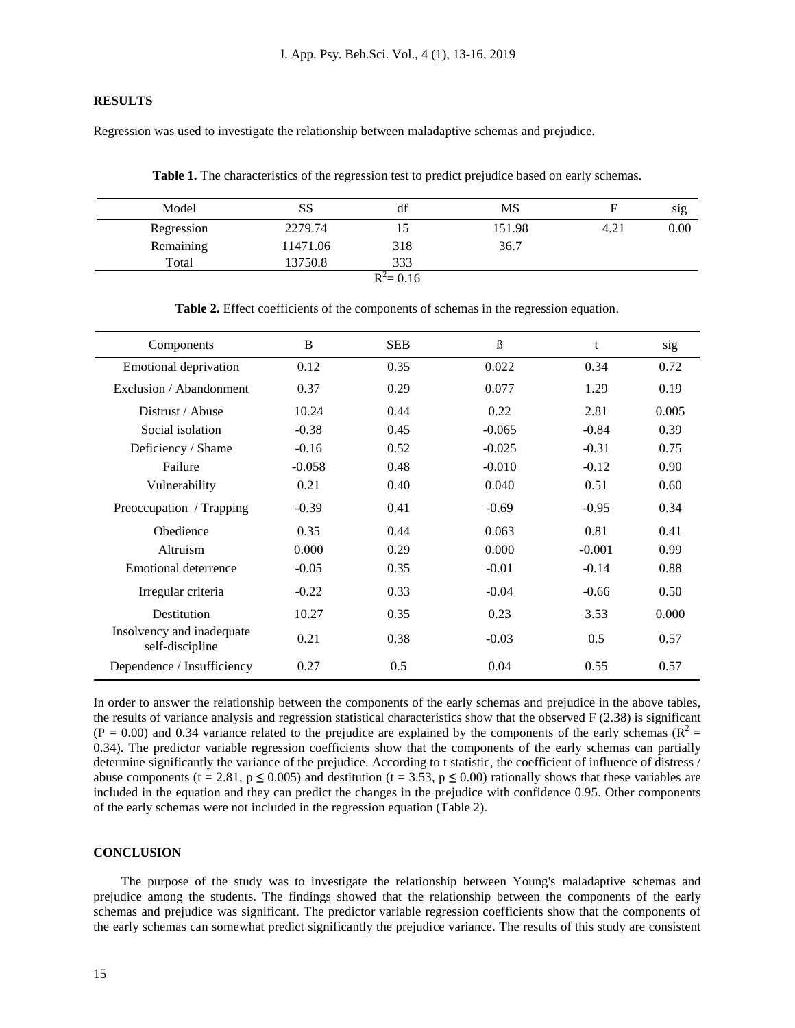# **RESULTS**

Regression was used to investigate the relationship between maladaptive schemas and prejudice.

**Table 1.** The characteristics of the regression test to predict prejudice based on early schemas.

| Model      | SS       | df           | MS     | F    | sig  |
|------------|----------|--------------|--------|------|------|
| Regression | 2279.74  | 15           | 151.98 | 4.21 | 0.00 |
| Remaining  | 11471.06 | 318          | 36.7   |      |      |
| Total      | 13750.8  | 333          |        |      |      |
|            |          | $R^2 = 0.16$ |        |      |      |

| Components                                   | B        | <b>SEB</b> | $\beta$  | t        | sig   |
|----------------------------------------------|----------|------------|----------|----------|-------|
| <b>Emotional deprivation</b>                 | 0.12     | 0.35       | 0.022    | 0.34     | 0.72  |
| Exclusion / Abandonment                      | 0.37     | 0.29       | 0.077    | 1.29     | 0.19  |
| Distrust / Abuse                             | 10.24    | 0.44       | 0.22     | 2.81     | 0.005 |
| Social isolation                             | $-0.38$  | 0.45       | $-0.065$ | $-0.84$  | 0.39  |
| Deficiency / Shame                           | $-0.16$  | 0.52       | $-0.025$ | $-0.31$  | 0.75  |
| Failure                                      | $-0.058$ | 0.48       | $-0.010$ | $-0.12$  | 0.90  |
| Vulnerability                                | 0.21     | 0.40       | 0.040    | 0.51     | 0.60  |
| Preoccupation / Trapping                     | $-0.39$  | 0.41       | $-0.69$  | $-0.95$  | 0.34  |
| Obedience                                    | 0.35     | 0.44       | 0.063    | 0.81     | 0.41  |
| Altruism                                     | 0.000    | 0.29       | 0.000    | $-0.001$ | 0.99  |
| Emotional deterrence                         | $-0.05$  | 0.35       | $-0.01$  | $-0.14$  | 0.88  |
| Irregular criteria                           | $-0.22$  | 0.33       | $-0.04$  | $-0.66$  | 0.50  |
| Destitution                                  | 10.27    | 0.35       | 0.23     | 3.53     | 0.000 |
| Insolvency and inadequate<br>self-discipline | 0.21     | 0.38       | $-0.03$  | 0.5      | 0.57  |
| Dependence / Insufficiency                   | 0.27     | 0.5        | 0.04     | 0.55     | 0.57  |

**Table 2.** Effect coefficients of the components of schemas in the regression equation.

In order to answer the relationship between the components of the early schemas and prejudice in the above tables, the results of variance analysis and regression statistical characteristics show that the observed F (2.38) is significant  $(P = 0.00)$  and 0.34 variance related to the prejudice are explained by the components of the early schemas ( $R^2 =$ 0.34). The predictor variable regression coefficients show that the components of the early schemas can partially determine significantly the variance of the prejudice. According to t statistic, the coefficient of influence of distress / abuse components (t = 2.81, p  $\leq$  0.005) and destitution (t = 3.53, p  $\leq$  0.00) rationally shows that these variables are included in the equation and they can predict the changes in the prejudice with confidence 0.95. Other components of the early schemas were not included in the regression equation (Table 2).

## **CONCLUSION**

The purpose of the study was to investigate the relationship between Young's maladaptive schemas and prejudice among the students. The findings showed that the relationship between the components of the early schemas and prejudice was significant. The predictor variable regression coefficients show that the components of the early schemas can somewhat predict significantly the prejudice variance. The results of this study are consistent